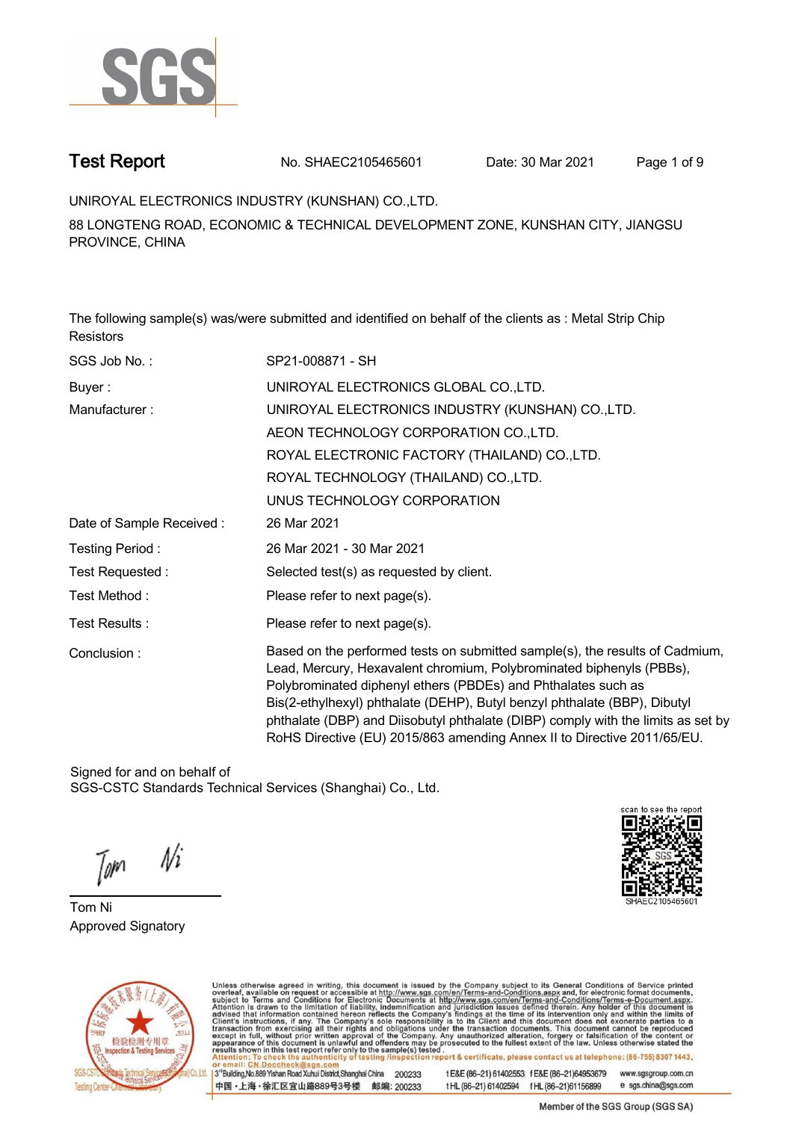

**Test Report. No. SHAEC2105465601 Date: 30 Mar 2021 . Page 1 of 9.**

**UNIROYAL ELECTRONICS INDUSTRY (KUNSHAN) CO.,LTD. .**

**88 LONGTENG ROAD, ECONOMIC & TECHNICAL DEVELOPMENT ZONE, KUNSHAN CITY, JIANGSU PROVINCE, CHINA**

**The following sample(s) was/were submitted and identified on behalf of the clients as : Metal Strip Chip Resistors.**

| SGS Job No.:             | SP21-008871 - SH                                                                                                                                                                                                                                                                                                                                                                                                                                                  |  |  |  |  |
|--------------------------|-------------------------------------------------------------------------------------------------------------------------------------------------------------------------------------------------------------------------------------------------------------------------------------------------------------------------------------------------------------------------------------------------------------------------------------------------------------------|--|--|--|--|
| Buyer:                   | UNIROYAL ELECTRONICS GLOBAL CO., LTD.                                                                                                                                                                                                                                                                                                                                                                                                                             |  |  |  |  |
| Manufacturer:            | UNIROYAL ELECTRONICS INDUSTRY (KUNSHAN) CO.,LTD.                                                                                                                                                                                                                                                                                                                                                                                                                  |  |  |  |  |
|                          | AEON TECHNOLOGY CORPORATION CO., LTD.                                                                                                                                                                                                                                                                                                                                                                                                                             |  |  |  |  |
|                          | ROYAL ELECTRONIC FACTORY (THAILAND) CO., LTD.                                                                                                                                                                                                                                                                                                                                                                                                                     |  |  |  |  |
|                          | ROYAL TECHNOLOGY (THAILAND) CO., LTD.                                                                                                                                                                                                                                                                                                                                                                                                                             |  |  |  |  |
|                          | UNUS TECHNOLOGY CORPORATION                                                                                                                                                                                                                                                                                                                                                                                                                                       |  |  |  |  |
| Date of Sample Received: | 26 Mar 2021                                                                                                                                                                                                                                                                                                                                                                                                                                                       |  |  |  |  |
| Testing Period:          | 26 Mar 2021 - 30 Mar 2021                                                                                                                                                                                                                                                                                                                                                                                                                                         |  |  |  |  |
| Test Requested:          | Selected test(s) as requested by client.                                                                                                                                                                                                                                                                                                                                                                                                                          |  |  |  |  |
| Test Method:             | Please refer to next page(s).                                                                                                                                                                                                                                                                                                                                                                                                                                     |  |  |  |  |
| Test Results :           | Please refer to next page(s).                                                                                                                                                                                                                                                                                                                                                                                                                                     |  |  |  |  |
| Conclusion:              | Based on the performed tests on submitted sample(s), the results of Cadmium,<br>Lead, Mercury, Hexavalent chromium, Polybrominated biphenyls (PBBs),<br>Polybrominated diphenyl ethers (PBDEs) and Phthalates such as<br>Bis(2-ethylhexyl) phthalate (DEHP), Butyl benzyl phthalate (BBP), Dibutyl<br>phthalate (DBP) and Diisobutyl phthalate (DIBP) comply with the limits as set by<br>RoHS Directive (EU) 2015/863 amending Annex II to Directive 2011/65/EU. |  |  |  |  |

Signed for and on behalf of SGS-CSTC Standards Technical Services (Shanghai) Co., Ltd..

 $N$ i Tom

**Tom Ni. Approved Signatory .**





Unless otherwise agreed in writing, this document is issued by the Company subject to its General Conditions of Service printed overleaf, available on request or accessible at http://www.sgs.com/en/Terms-and-Conditions.asp

13<sup>rd</sup> Building No.889 Yishan Road Xuhui District Shanghai China 200233 中国·上海·徐汇区宜山路889号3号楼 邮编: 200233 tE&E (86-21) 61402553 fE&E (86-21)64953679 www.sgsgroup.com.cn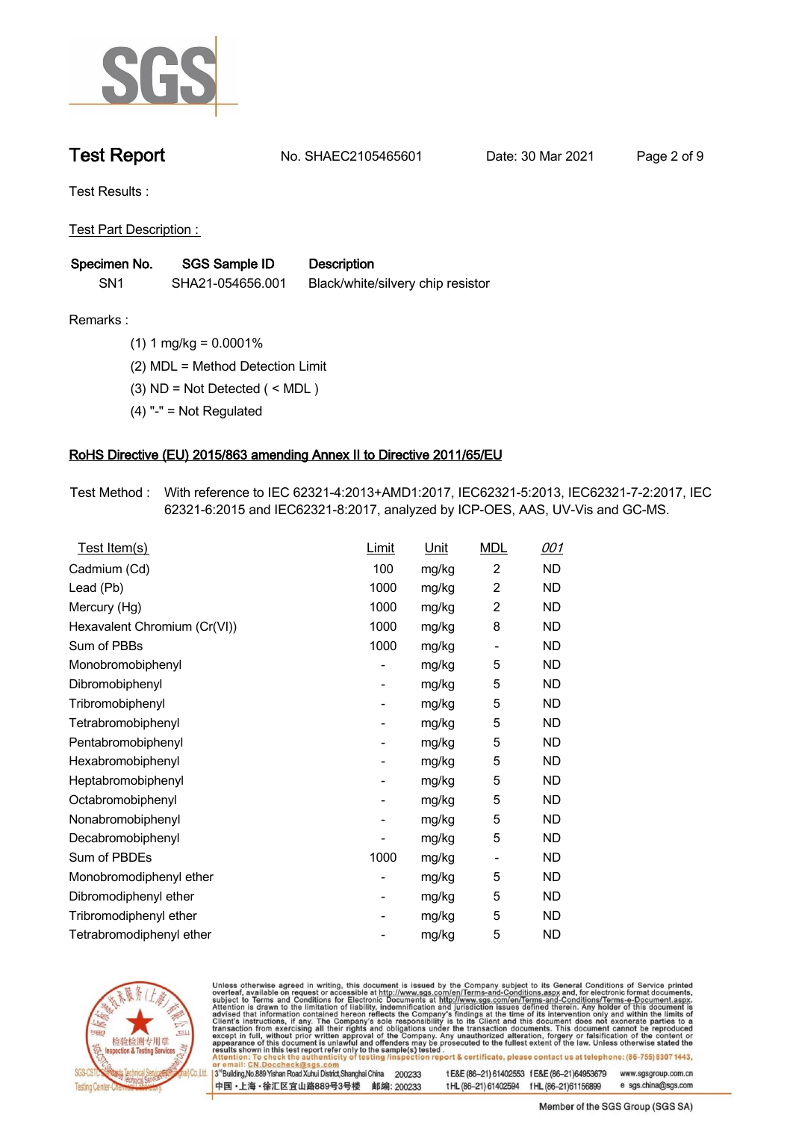

**Test Report. No. SHAEC2105465601 Date: 30 Mar 2021 . Page 2 of 9.**

**Test Results :.**

**Test Part Description : .**

| Specimen No.    | SGS Sample ID    | <b>Description</b>                |
|-----------------|------------------|-----------------------------------|
| SN <sub>1</sub> | SHA21-054656.001 | Black/white/silvery chip resistor |

**Remarks :.(1) 1 mg/kg = 0.0001% .**

**(2) MDL = Method Detection Limit .**

**(3) ND = Not Detected ( < MDL ) .**

**(4) "-" = Not Regulated .**

## **RoHS Directive (EU) 2015/863 amending Annex II to Directive 2011/65/EU.**

**Test Method :. With reference to IEC 62321-4:2013+AMD1:2017, IEC62321-5:2013, IEC62321-7-2:2017, IEC 62321-6:2015 and IEC62321-8:2017, analyzed by ICP-OES, AAS, UV-Vis and GC-MS. .**

| Test Item(s)                 | Limit | <u>Unit</u> | <b>MDL</b>               | 001       |
|------------------------------|-------|-------------|--------------------------|-----------|
| Cadmium (Cd)                 | 100   | mg/kg       | $\overline{2}$           | ND        |
| Lead (Pb)                    | 1000  | mg/kg       | $\overline{2}$           | <b>ND</b> |
| Mercury (Hg)                 | 1000  | mg/kg       | $\overline{2}$           | <b>ND</b> |
| Hexavalent Chromium (Cr(VI)) | 1000  | mg/kg       | 8                        | <b>ND</b> |
| Sum of PBBs                  | 1000  | mg/kg       | $\overline{a}$           | ND        |
| Monobromobiphenyl            |       | mg/kg       | 5                        | ND.       |
| Dibromobiphenyl              | -     | mg/kg       | 5                        | ND.       |
| Tribromobiphenyl             |       | mg/kg       | 5                        | ND.       |
| Tetrabromobiphenyl           | -     | mg/kg       | 5                        | ND        |
| Pentabromobiphenyl           |       | mg/kg       | 5                        | <b>ND</b> |
| Hexabromobiphenyl            | -     | mg/kg       | 5                        | ND.       |
| Heptabromobiphenyl           |       | mg/kg       | 5                        | <b>ND</b> |
| Octabromobiphenyl            | -     | mg/kg       | 5                        | ND        |
| Nonabromobiphenyl            |       | mg/kg       | 5                        | ND.       |
| Decabromobiphenyl            |       | mg/kg       | 5                        | ND        |
| Sum of PBDEs                 | 1000  | mg/kg       | $\overline{\phantom{a}}$ | ND.       |
| Monobromodiphenyl ether      |       | mg/kg       | 5                        | ND        |
| Dibromodiphenyl ether        | -     | mg/kg       | 5                        | ND.       |
| Tribromodiphenyl ether       | -     | mg/kg       | 5                        | <b>ND</b> |
| Tetrabromodiphenyl ether     |       | mg/kg       | 5                        | <b>ND</b> |



Unless otherwise agreed in writing, this document is issued by the Company subject to its General Conditions of Service printed overleaf, available on request or accessible at http://www.sgs.com/en/Terms-and-Conditions.asp

3<sup>rd</sup> Building, No.889 Yishan Road Xuhui District, Shanghai China 200233 中国·上海·徐汇区宜山路889号3号楼 邮编: 200233 tE&E (86-21) 61402553 fE&E (86-21)64953679 www.sgsgroup.com.cn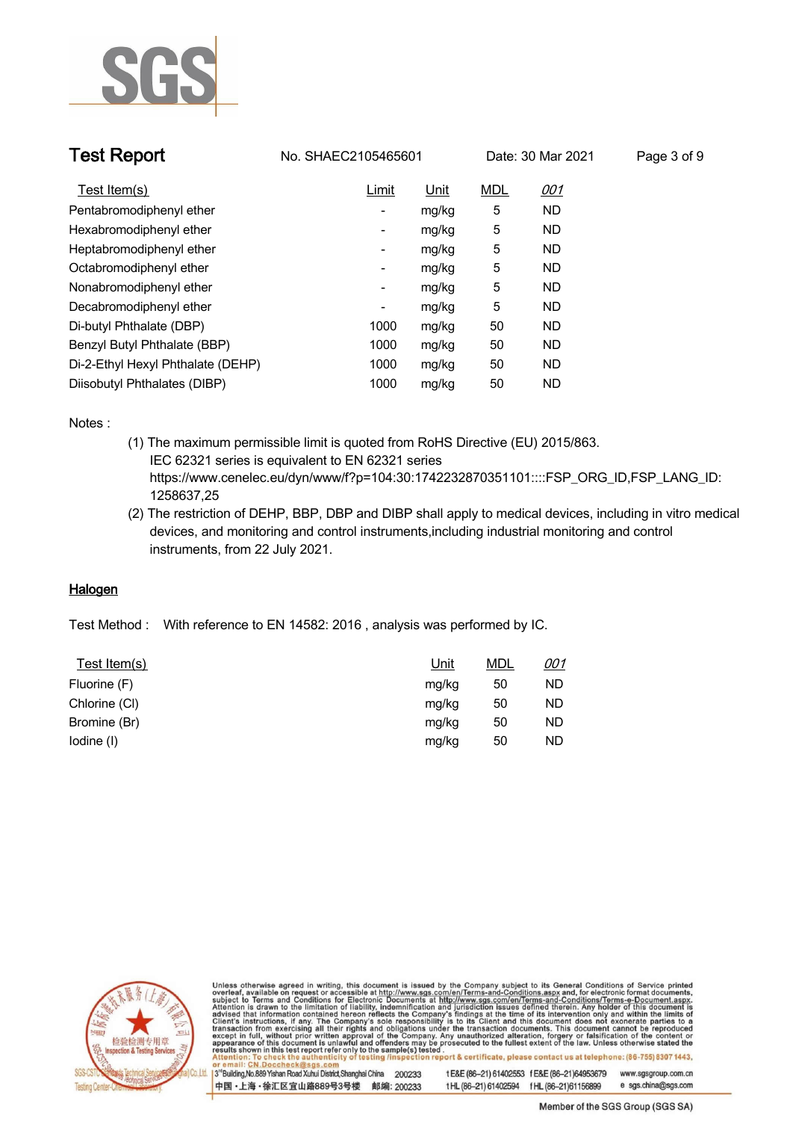

| <b>Test Report</b>                |                          | No. SHAEC2105465601 |            | Date: 30 Mar 2021 | Page 3 of 9 |
|-----------------------------------|--------------------------|---------------------|------------|-------------------|-------------|
| Test Item(s)                      | Limit                    | Unit                | <b>MDL</b> | <u>001</u>        |             |
| Pentabromodiphenyl ether          | $\overline{\phantom{a}}$ | mg/kg               | 5          | ND.               |             |
| Hexabromodiphenyl ether           | $\overline{\phantom{a}}$ | mg/kg               | 5          | ND.               |             |
| Heptabromodiphenyl ether          | $\overline{\phantom{a}}$ | mg/kg               | 5          | ND.               |             |
| Octabromodiphenyl ether           | $\overline{\phantom{a}}$ | mg/kg               | 5          | ND.               |             |
| Nonabromodiphenyl ether           | $\overline{\phantom{a}}$ | mg/kg               | 5          | <b>ND</b>         |             |
| Decabromodiphenyl ether           | $\overline{\phantom{a}}$ | mg/kg               | 5          | ND.               |             |
| Di-butyl Phthalate (DBP)          | 1000                     | mg/kg               | 50         | ND.               |             |
| Benzyl Butyl Phthalate (BBP)      | 1000                     | mg/kg               | 50         | ND.               |             |
| Di-2-Ethyl Hexyl Phthalate (DEHP) | 1000                     | mg/kg               | 50         | ND.               |             |
| Diisobutyl Phthalates (DIBP)      | 1000                     | mg/kg               | 50         | ND.               |             |

**Notes :.**

- **(1) The maximum permissible limit is quoted from RoHS Directive (EU) 2015/863. IEC 62321 series is equivalent to EN 62321 series https://www.cenelec.eu/dyn/www/f?p=104:30:1742232870351101::::FSP\_ORG\_ID,FSP\_LANG\_ID: 1258637,25**
- **(2) The restriction of DEHP, BBP, DBP and DIBP shall apply to medical devices, including in vitro medical devices, and monitoring and control instruments,including industrial monitoring and control instruments, from 22 July 2021. .**

## **Halogen.**

**Test Method :. With reference to EN 14582: 2016 , analysis was performed by IC. .**

| Test Item(s)  | Unit  | <u>MDL</u> | <u>001</u> |
|---------------|-------|------------|------------|
| Fluorine (F)  | mg/kg | 50         | ND.        |
| Chlorine (CI) | mg/kg | 50         | ND.        |
| Bromine (Br)  | mg/kg | 50         | ND.        |
| lodine (I)    | mg/kg | 50         | ND.        |



Unless otherwise agreed in writing, this document is issued by the Company subject to its General Conditions of Service printed overleaf, available on request or accessible at http://www.sgs.com/en/Terms-and-Conditions.asp

3<sup>14</sup> Building, No.889 Yishan Road Xuhui District, Shanghai China 200233 中国·上海·徐汇区宜山路889号3号楼 邮编: 200233 t E&E (86-21) 61402553 f E&E (86-21)64953679 www.sgsgroup.com.cn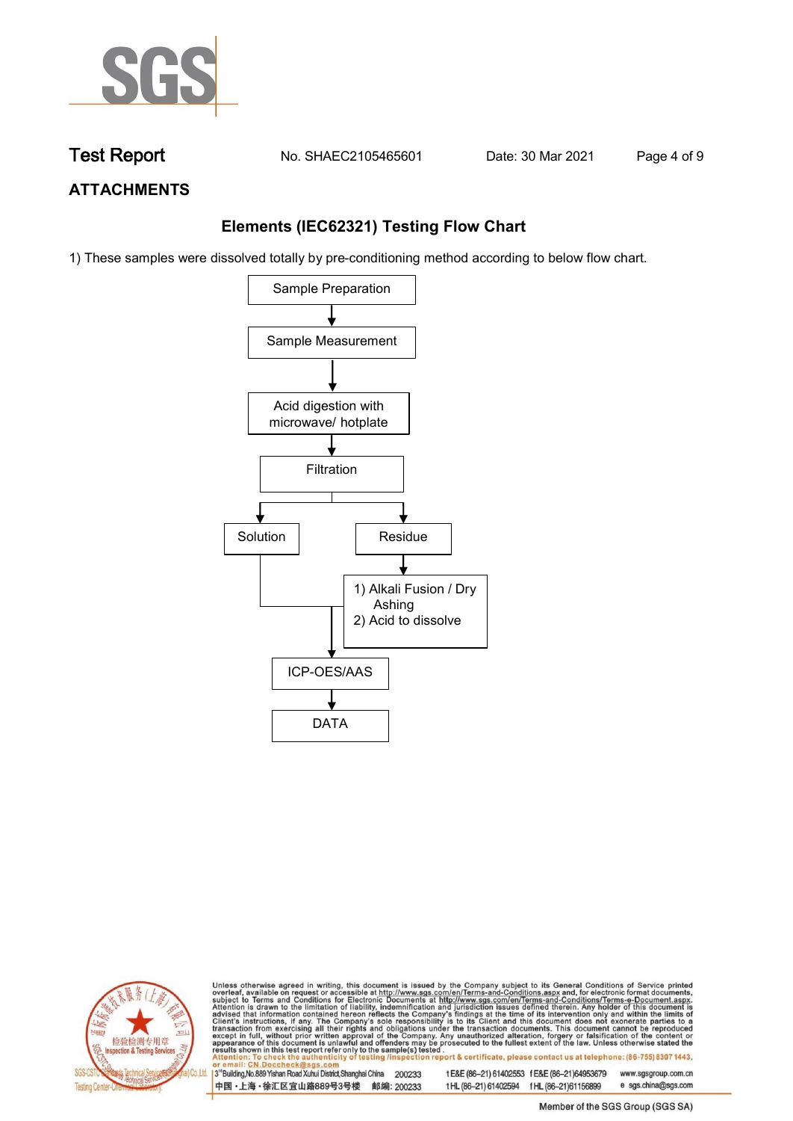

**Test Report No. SHAEC2105465601** Date: 30 Mar 2021 **Page 4 of 9** 

## **ATTACHMENTS**

## **Elements (IEC62321) Testing Flow Chart**

1) These samples were dissolved totally by pre-conditioning method according to below flow chart.





Unless otherwise agreed in writing, this document is issued by the Company subject to its General Conditions of Service printed overleaf, available on request or accessible at http://www.sgs.com/en/Terms-and-Conditions.asp

3<sup>rd</sup> Building, No.889 Yishan Road Xuhui District, Shanghai China 200233 中国·上海·徐汇区宜山路889号3号楼 邮编: 200233 tE&E (86-21) 61402553 fE&E (86-21)64953679 www.sgsgroup.com.cn e sgs.china@sgs.com t HL (86-21) 61402594 f HL (86-21) 61156899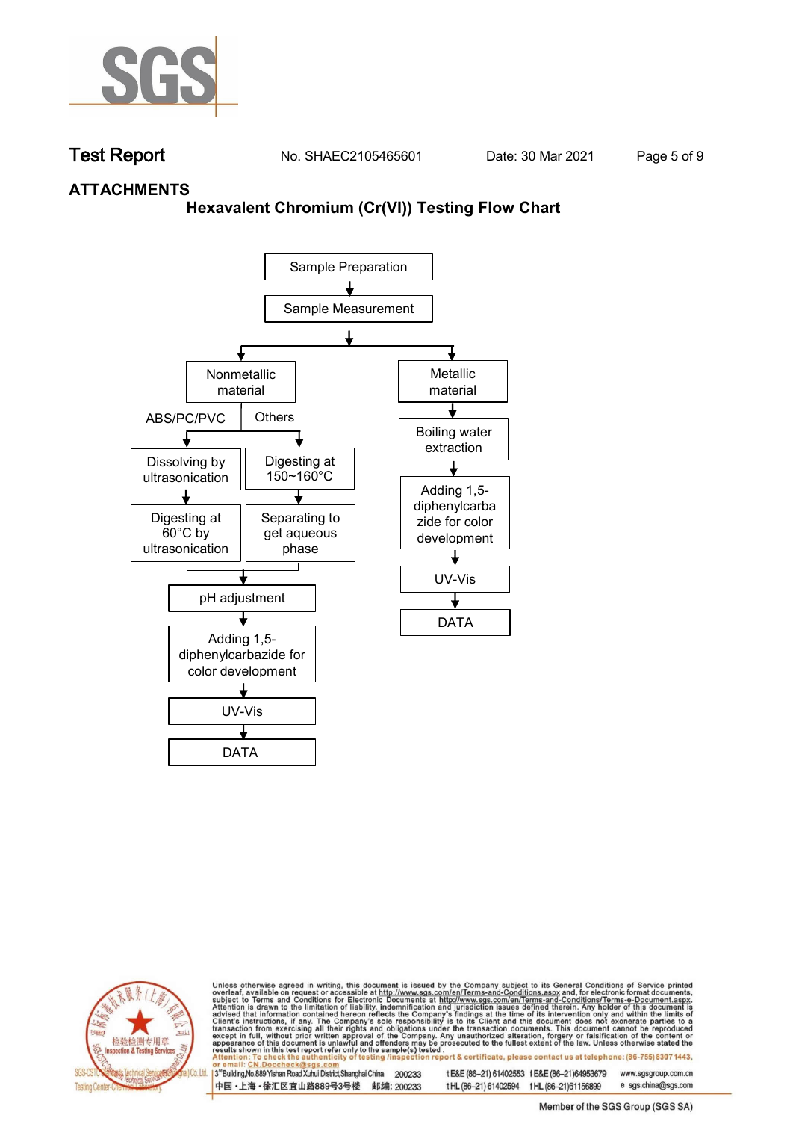

**Test Report. No. SHAEC2105465601 Date: 30 Mar 2021 . Page 5 of 9.**

## **ATTACHMENTS**

## **Hexavalent Chromium (Cr(VI)) Testing Flow Chart**





Unless otherwise agreed in writing, this document is issued by the Company subject to its General Conditions of Service printed overleaf, available on request or accessible at http://www.sgs.com/en/Terms-and-Conditions.asp

3<sup>rd</sup> Building, No.889 Yishan Road Xuhui District, Shanghai China 200233 中国·上海·徐汇区宜山路889号3号楼 邮编: 200233 tE&E (86-21) 61402553 fE&E (86-21)64953679 www.sgsgroup.com.cn

t HL (86-21) 61402594 f HL (86-21)61156899 Member of the SGS Group (SGS SA)

e sgs.china@sgs.com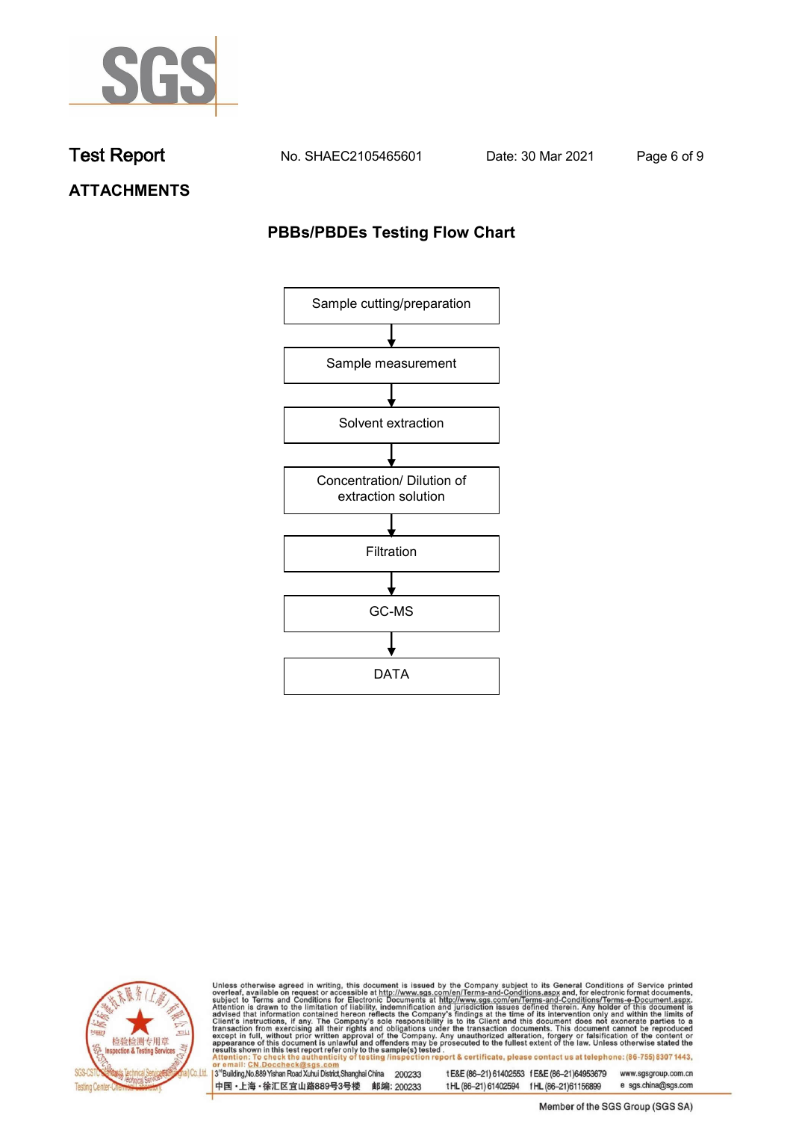

**Test Report. No. SHAEC2105465601 Date: 30 Mar 2021 . Page 6 of 9.**

**ATTACHMENTS**

# **PBBs/PBDEs Testing Flow Chart**





Unless otherwise agreed in writing, this document is issued by the Company subject to its General Conditions of Service printed overleaf, available on request or accessible at http://www.sgs.com/en/Terms-and-Conditions.asp

3<sup>'</sup>Building, No.889 Yishan Road Xuhui District, Shanghai China 200233 中国·上海·徐汇区宜山路889号3号楼 邮编: 200233

tE&E (86-21) 61402553 fE&E (86-21)64953679 www.sgsgroup.com.cn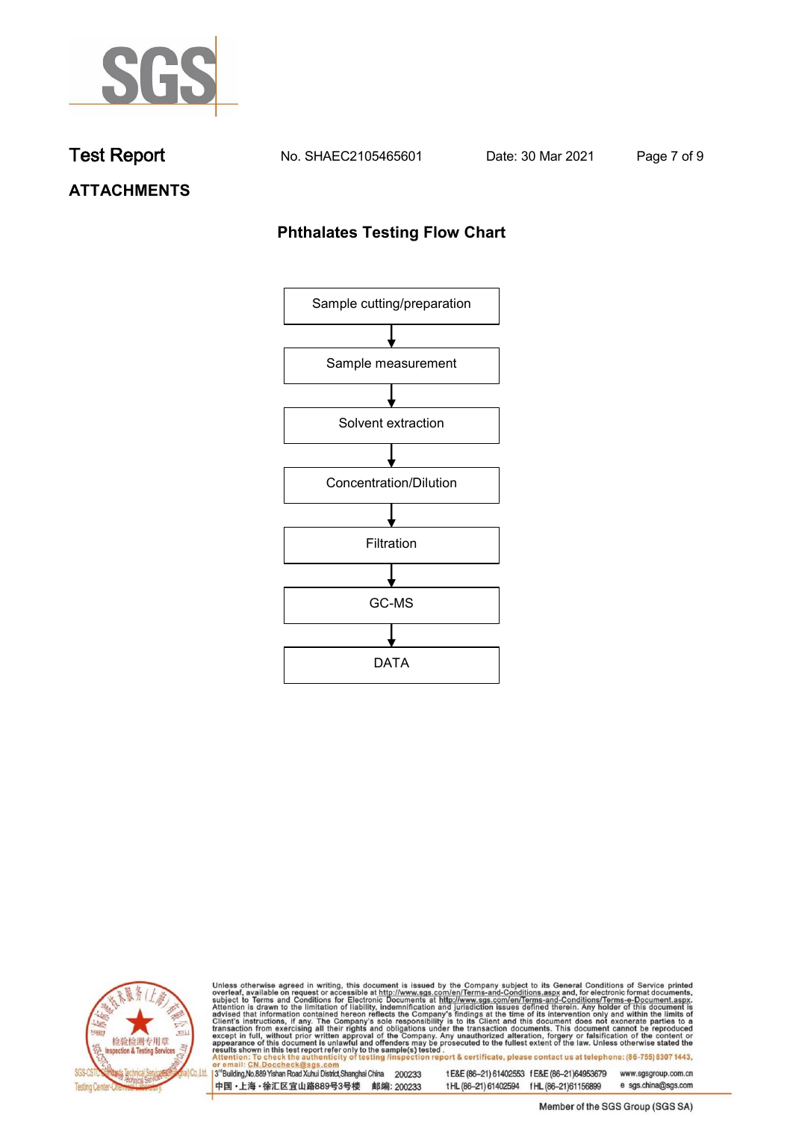

**Test Report. No. SHAEC2105465601 Date: 30 Mar 2021 . Page 7 of 9.**

# **ATTACHMENTS**

## **Phthalates Testing Flow Chart**





Unless otherwise agreed in writing, this document is issued by the Company subject to its General Conditions of Service printed overleaf, available on request or accessible at http://www.sgs.com/en/Terms-and-Conditions.asp

3<sup>'</sup>Building, No.889 Yishan Road Xuhui District, Shanghai China 200233 中国·上海·徐汇区宜山路889号3号楼 邮编: 200233

tE&E (86-21) 61402553 fE&E (86-21)64953679 www.sgsgroup.com.cn

e sgs.china@sgs.com t HL (86-21) 61402594 f HL (86-21) 61156899 Member of the SGS Group (SGS SA)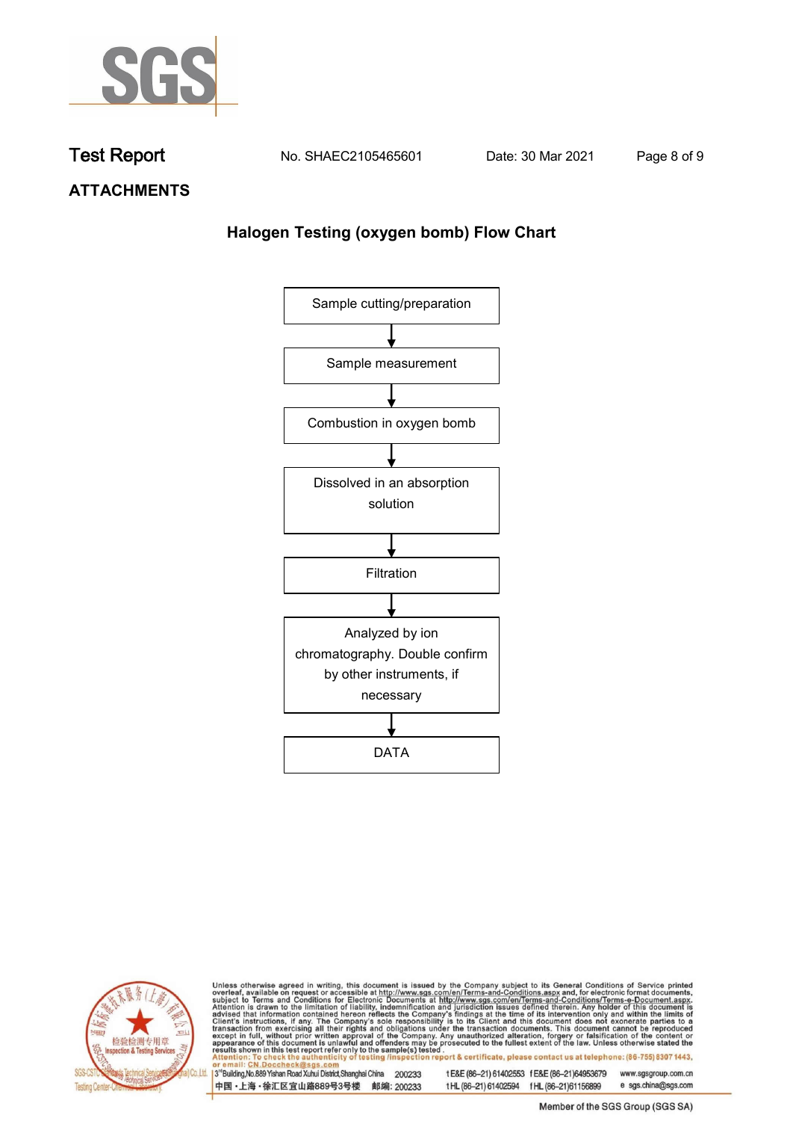

**Test Report. No. SHAEC2105465601 Date: 30 Mar 2021 . Page 8 of 9.**

**ATTACHMENTS**

## **Halogen Testing (oxygen bomb) Flow Chart**





Unless otherwise agreed in writing, this document is issued by the Company subject to its General Conditions of Service printed overleaf, available on request or accessible at http://www.sgs.com/en/Terms-and-Conditions.asp

3<sup>'</sup>Building, No.889 Yishan Road Xuhui District, Shanghai China 200233 中国·上海·徐汇区宜山路889号3号楼 邮编: 200233

tE&E (86-21) 61402553 fE&E (86-21)64953679 www.sgsgroup.com.cn

e sgs.china@sgs.com t HL (86-21) 61402594 f HL (86-21) 61156899